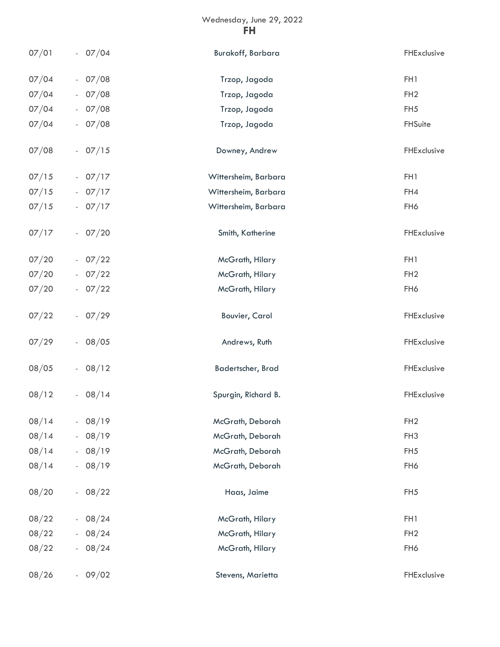## Wednesday, June 29, 2022 **FH**

| 07/01 | $-07/04$ | Burakoff, Barbara     | FHExclusive     |
|-------|----------|-----------------------|-----------------|
| 07/04 | $-07/08$ | Trzop, Jagoda         | FH1             |
| 07/04 | $-07/08$ | Trzop, Jagoda         | FH <sub>2</sub> |
| 07/04 | $-07/08$ | Trzop, Jagoda         | FH <sub>5</sub> |
| 07/04 | $-07/08$ | Trzop, Jagoda         | FHSuite         |
| 07/08 | $-07/15$ | Downey, Andrew        | FHExclusive     |
| 07/15 | $-07/17$ | Wittersheim, Barbara  | FH1             |
| 07/15 | $-07/17$ | Wittersheim, Barbara  | FH4             |
| 07/15 | $-07/17$ | Wittersheim, Barbara  | FH6             |
| 07/17 | $-07/20$ | Smith, Katherine      | FHExclusive     |
| 07/20 | $-07/22$ | McGrath, Hilary       | FH1             |
| 07/20 | $-07/22$ | McGrath, Hilary       | FH <sub>2</sub> |
| 07/20 | $-07/22$ | McGrath, Hilary       | FH6             |
| 07/22 | $-07/29$ | <b>Bouvier, Carol</b> | FHExclusive     |
| 07/29 | $-08/05$ | Andrews, Ruth         | FHExclusive     |
| 08/05 | $-08/12$ | Badertscher, Brad     | FHExclusive     |
| 08/12 | $-08/14$ | Spurgin, Richard B.   | FHExclusive     |
| 08/14 | $-08/19$ | McGrath, Deborah      | FH <sub>2</sub> |
| 08/14 | $-08/19$ | McGrath, Deborah      | FH <sub>3</sub> |
| 08/14 | $-08/19$ | McGrath, Deborah      | FH <sub>5</sub> |
| 08/14 | $-08/19$ | McGrath, Deborah      | FH6             |
| 08/20 | $-08/22$ | Haas, Jaime           | FH <sub>5</sub> |
| 08/22 | $-08/24$ | McGrath, Hilary       | FH1             |
| 08/22 | $-08/24$ | McGrath, Hilary       | FH <sub>2</sub> |
| 08/22 | $-08/24$ | McGrath, Hilary       | FH6             |
| 08/26 | $-09/02$ | Stevens, Marietta     | FHExclusive     |